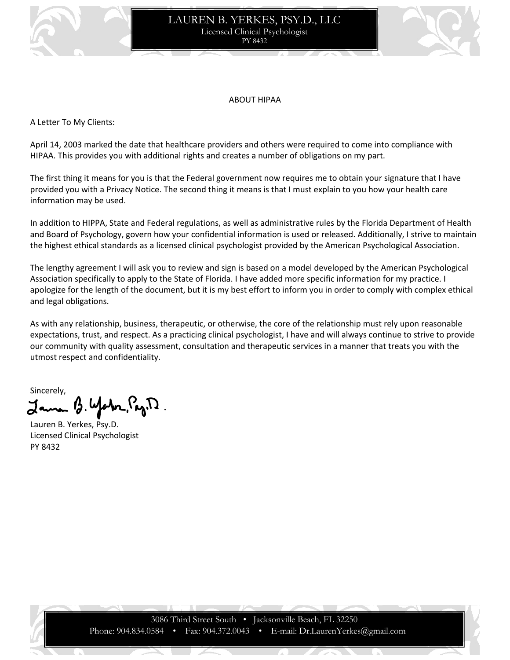

# LAUREN B. YERKES, PSY.D., LLC Licensed Clinical Psychologist PY 8432



## ABOUT HIPAA

A Letter To My Clients:

April 14, 2003 marked the date that healthcare providers and others were required to come into compliance with HIPAA. This provides you with additional rights and creates a number of obligations on my part.

The first thing it means for you is that the Federal government now requires me to obtain your signature that I have provided you with a Privacy Notice. The second thing it means is that I must explain to you how your health care information may be used.

In addition to HIPPA, State and Federal regulations, as well as administrative rules by the Florida Department of Health and Board of Psychology, govern how your confidential information is used or released. Additionally, I strive to maintain the highest ethical standards as a licensed clinical psychologist provided by the American Psychological Association.

The lengthy agreement I will ask you to review and sign is based on a model developed by the American Psychological Association specifically to apply to the State of Florida. I have added more specific information for my practice. I apologize for the length of the document, but it is my best effort to inform you in order to comply with complex ethical and legal obligations.

As with any relationship, business, therapeutic, or otherwise, the core of the relationship must rely upon reasonable expectations, trust, and respect. As a practicing clinical psychologist, I have and will always continue to strive to provide our community with quality assessment, consultation and therapeutic services in a manner that treats you with the utmost respect and confidentiality.

Sincerely, Water, Pag. D.

Lauren B. Yerkes, Psy.D. Licensed Clinical Psychologist PY 8432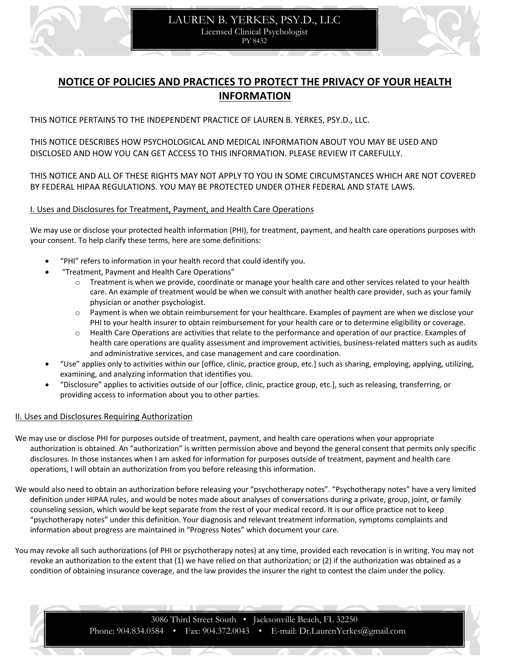



THIS NOTICE PERTAINS TO THE INDEPENDENT PRACTICE OF LAUREN B. YERKES, PSY.D., LLC.

THIS NOTICE DESCRIBES HOW PSYCHOLOGICAL AND MEDICAL INFORMATION ABOUT YOU MAY BE USED AND DISCLOSED AND HOW YOU CAN GET ACCESS TO THIS INFORMATION. PLEASE REVIEW IT CAREFULLY.

THIS NOTICE AND ALL OF THESE RIGHTS MAY NOT APPLY TO YOU IN SOME CIRCUMSTANCES WHICH ARE NOT COVERED BY FEDERAL HIPAA REGULATIONS. YOU MAY BE PROTECTED UNDER OTHER FEDERAL AND STATE LAWS.

## I. Uses and Disclosures for Treatment, Payment, and Health Care Operations

We may use or disclose your protected health information (PHI), for treatment, payment, and health care operations purposes with your consent. To help clarify these terms, here are some definitions:

- "PHI" refers to information in your health record that could identify you.
	- "Treatment, Payment and Health Care Operations"
		- o Treatment is when we provide, coordinate or manage your health care and other services related to your health care. An example of treatment would be when we consult with another health care provider, such as your family physician or another psychologist.
		- o Payment is when we obtain reimbursement for your healthcare. Examples of payment are when we disclose your PHI to your health insurer to obtain reimbursement for your health care or to determine eligibility or coverage.
		- o Health Care Operations are activities that relate to the performance and operation of our practice. Examples of health care operations are quality assessment and improvement activities, business-related matters such as audits and administrative services, and case management and care coordination.
- "Use" applies only to activities within our [office, clinic, practice group, etc.] such as sharing, employing, applying, utilizing, examining, and analyzing information that identifies you.
- "Disclosure" applies to activities outside of our [office, clinic, practice group, etc.], such as releasing, transferring, or providing access to information about you to other parties.

## II. Uses and Disclosures Requiring Authorization

- We may use or disclose PHI for purposes outside of treatment, payment, and health care operations when your appropriate authorization is obtained. An "authorization" is written permission above and beyond the general consent that permits only specific disclosures. In those instances when I am asked for information for purposes outside of treatment, payment and health care operations, I will obtain an authorization from you before releasing this information.
- We would also need to obtain an authorization before releasing your "psychotherapy notes". "Psychotherapy notes" have a very limited definition under HIPAA rules, and would be notes made about analyses of conversations during a private, group, joint, or family counseling session, which would be kept separate from the rest of your medical record. It is our office practice not to keep "psychotherapy notes" under this definition. Your diagnosis and relevant treatment information, symptoms complaints and information about progress are maintained in "Progress Notes" which document your care.

You may revoke all such authorizations (of PHI or psychotherapy notes) at any time, provided each revocation is in writing. You may not revoke an authorization to the extent that (1) we have relied on that authorization; or (2) if the authorization was obtained as a condition of obtaining insurance coverage, and the law provides the insurer the right to contest the claim under the policy.

> 3086 Third Street South • Jacksonville Beach, FL 32250 Phone: 904.834.0584 • Fax: 904.372.0043 • E-mail: Dr.LaurenYerkes@gmail.com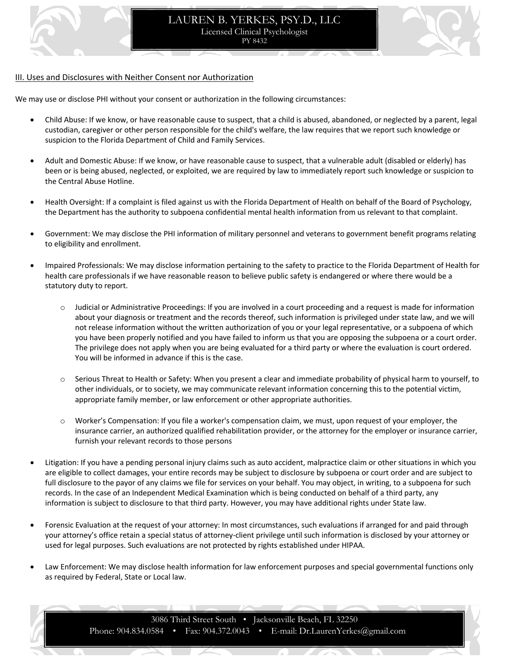

## III. Uses and Disclosures with Neither Consent nor Authorization

We may use or disclose PHI without your consent or authorization in the following circumstances:

- Child Abuse: If we know, or have reasonable cause to suspect, that a child is abused, abandoned, or neglected by a parent, legal custodian, caregiver or other person responsible for the child's welfare, the law requires that we report such knowledge or suspicion to the Florida Department of Child and Family Services.
- Adult and Domestic Abuse: If we know, or have reasonable cause to suspect, that a vulnerable adult (disabled or elderly) has been or is being abused, neglected, or exploited, we are required by law to immediately report such knowledge or suspicion to the Central Abuse Hotline.
- Health Oversight: If a complaint is filed against us with the Florida Department of Health on behalf of the Board of Psychology, the Department has the authority to subpoena confidential mental health information from us relevant to that complaint.
- Government: We may disclose the PHI information of military personnel and veterans to government benefit programs relating to eligibility and enrollment.
- Impaired Professionals: We may disclose information pertaining to the safety to practice to the Florida Department of Health for health care professionals if we have reasonable reason to believe public safety is endangered or where there would be a statutory duty to report.
	- Judicial or Administrative Proceedings: If you are involved in a court proceeding and a request is made for information about your diagnosis or treatment and the records thereof, such information is privileged under state law, and we will not release information without the written authorization of you or your legal representative, or a subpoena of which you have been properly notified and you have failed to inform us that you are opposing the subpoena or a court order. The privilege does not apply when you are being evaluated for a third party or where the evaluation is court ordered. You will be informed in advance if this is the case.
	- o Serious Threat to Health or Safety: When you present a clear and immediate probability of physical harm to yourself, to other individuals, or to society, we may communicate relevant information concerning this to the potential victim, appropriate family member, or law enforcement or other appropriate authorities.
	- o Worker's Compensation: If you file a worker's compensation claim, we must, upon request of your employer, the insurance carrier, an authorized qualified rehabilitation provider, or the attorney for the employer or insurance carrier, furnish your relevant records to those persons
- Litigation: If you have a pending personal injury claims such as auto accident, malpractice claim or other situations in which you are eligible to collect damages, your entire records may be subject to disclosure by subpoena or court order and are subject to full disclosure to the payor of any claims we file for services on your behalf. You may object, in writing, to a subpoena for such records. In the case of an Independent Medical Examination which is being conducted on behalf of a third party, any information is subject to disclosure to that third party. However, you may have additional rights under State law.
- Forensic Evaluation at the request of your attorney: In most circumstances, such evaluations if arranged for and paid through your attorney's office retain a special status of attorney-client privilege until such information is disclosed by your attorney or used for legal purposes. Such evaluations are not protected by rights established under HIPAA.
- Law Enforcement: We may disclose health information for law enforcement purposes and special governmental functions only as required by Federal, State or Local law.

3086 Third Street South • Jacksonville Beach, FL 32250 Phone: 904.834.0584 • Fax: 904.372.0043 • E-mail: Dr.LaurenYerkes@gmail.com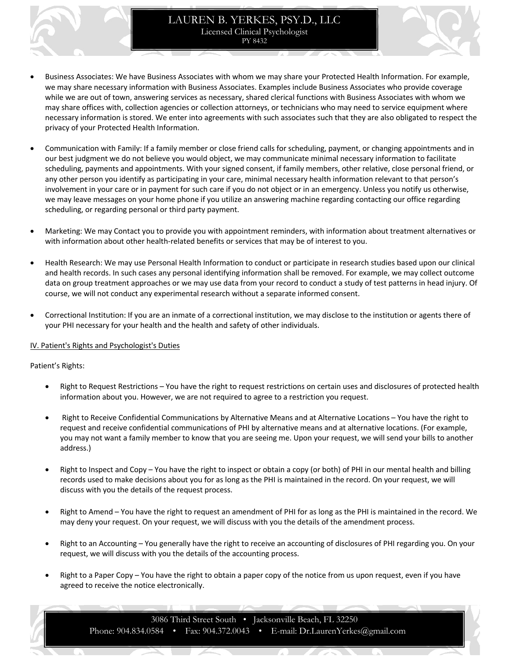- Business Associates: We have Business Associates with whom we may share your Protected Health Information. For example, we may share necessary information with Business Associates. Examples include Business Associates who provide coverage while we are out of town, answering services as necessary, shared clerical functions with Business Associates with whom we may share offices with, collection agencies or collection attorneys, or technicians who may need to service equipment where necessary information is stored. We enter into agreements with such associates such that they are also obligated to respect the privacy of your Protected Health Information.
- Communication with Family: If a family member or close friend calls for scheduling, payment, or changing appointments and in our best judgment we do not believe you would object, we may communicate minimal necessary information to facilitate scheduling, payments and appointments. With your signed consent, if family members, other relative, close personal friend, or any other person you identify as participating in your care, minimal necessary health information relevant to that person's involvement in your care or in payment for such care if you do not object or in an emergency. Unless you notify us otherwise, we may leave messages on your home phone if you utilize an answering machine regarding contacting our office regarding scheduling, or regarding personal or third party payment.
- Marketing: We may Contact you to provide you with appointment reminders, with information about treatment alternatives or with information about other health-related benefits or services that may be of interest to you.
- Health Research: We may use Personal Health Information to conduct or participate in research studies based upon our clinical and health records. In such cases any personal identifying information shall be removed. For example, we may collect outcome data on group treatment approaches or we may use data from your record to conduct a study of test patterns in head injury. Of course, we will not conduct any experimental research without a separate informed consent.
- Correctional Institution: If you are an inmate of a correctional institution, we may disclose to the institution or agents there of your PHI necessary for your health and the health and safety of other individuals.

## IV. Patient's Rights and Psychologist's Duties

## Patient's Rights:

- Right to Request Restrictions You have the right to request restrictions on certain uses and disclosures of protected health information about you. However, we are not required to agree to a restriction you request.
- Right to Receive Confidential Communications by Alternative Means and at Alternative Locations You have the right to request and receive confidential communications of PHI by alternative means and at alternative locations. (For example, you may not want a family member to know that you are seeing me. Upon your request, we will send your bills to another address.)
- Right to Inspect and Copy You have the right to inspect or obtain a copy (or both) of PHI in our mental health and billing records used to make decisions about you for as long as the PHI is maintained in the record. On your request, we will discuss with you the details of the request process.
- Right to Amend You have the right to request an amendment of PHI for as long as the PHI is maintained in the record. We may deny your request. On your request, we will discuss with you the details of the amendment process.
- Right to an Accounting You generally have the right to receive an accounting of disclosures of PHI regarding you. On your request, we will discuss with you the details of the accounting process.
- Right to a Paper Copy You have the right to obtain a paper copy of the notice from us upon request, even if you have agreed to receive the notice electronically.

3086 Third Street South • Jacksonville Beach, FL 32250 Phone: 904.834.0584 • Fax: 904.372.0043 • E-mail: Dr.LaurenYerkes@gmail.com